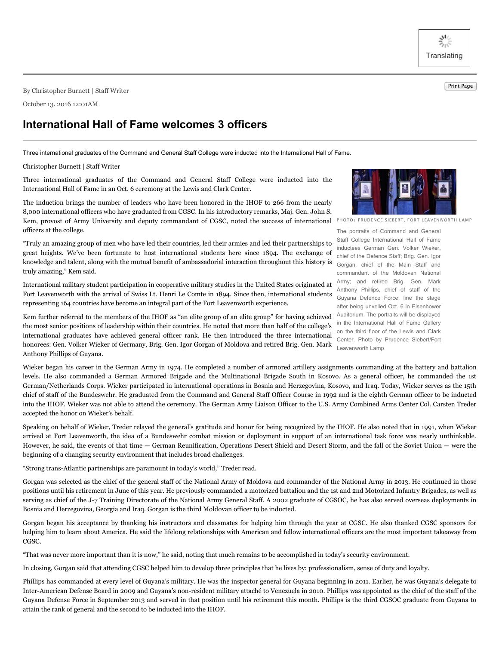$\frac{N}{\gamma_1\gamma_2}$ **Translating** 

Print Page By Christopher Burnett <sup>|</sup> Staff Writer

October 13. 2016 12:01AM

## **International Hall of Fame welcomes 3 officers**

Three international graduates of the Command and General Staff College were inducted into the International Hall of Fame.

Christopher Burnett | Staff Writer

Three international graduates of the Command and General Staff College were inducted into the International Hall of Fame in an Oct. 6 ceremony at the Lewis and Clark Center.

The induction brings the number of leaders who have been honored in the IHOF to 266 from the nearly 8,000 international officers who have graduated from CGSC. In his introductory remarks, Maj. Gen. John S. Kem, provost of Army University and deputy commandant of CGSC, noted the success of international officers at the college.

"Truly an amazing group of men who have led their countries, led their armies and led their partnerships to great heights. We've been fortunate to host international students here since 1894. The exchange of knowledge and talent, along with the mutual benefit of ambassadorial interaction throughout this history is truly amazing," Kem said.

International military student participation in cooperative military studies in the United States originated at Fort Leavenworth with the arrival of Swiss Lt. Henri Le Comte in 1894. Since then, international students representing 164 countries have become an integral part of the Fort Leavenworth experience.

Kem further referred to the members of the IHOF as "an elite group of an elite group" for having achieved the most senior positions of leadership within their countries. He noted that more than half of the college's international graduates have achieved general officer rank. He then introduced the three international honorees: Gen. Volker Wieker of Germany, Brig. Gen. Igor Gorgan of Moldova and retired Brig. Gen. Mark Anthony Phillips of Guyana.

Wieker began his career in the German Army in 1974. He completed a number of armored artillery assignments commanding at the battery and battalion levels. He also commanded a German Armored Brigade and the Multinational Brigade South in Kosovo. As a general officer, he commanded the 1st German/Netherlands Corps. Wieker participated in international operations in Bosnia and Herzegovina, Kosovo, and Iraq. Today, Wieker serves as the 15th chief of staff of the Bundeswehr. He graduated from the Command and General Staff Officer Course in 1992 and is the eighth German officer to be inducted into the IHOF. Wieker was not able to attend the ceremony. The German Army Liaison Officer to the U.S. Army Combined Arms Center Col. Carsten Treder accepted the honor on Wieker's behalf.

Speaking on behalf of Wieker, Treder relayed the general's gratitude and honor for being recognized by the IHOF. He also noted that in 1991, when Wieker arrived at Fort Leavenworth, the idea of a Bundeswehr combat mission or deployment in support of an international task force was nearly unthinkable. However, he said, the events of that time — German Reunification, Operations Desert Shield and Desert Storm, and the fall of the Soviet Union — were the beginning of a changing security environment that includes broad challenges.

"Strong trans-Atlantic partnerships are paramount in today's world," Treder read.

Gorgan was selected as the chief of the general staff of the National Army of Moldova and commander of the National Army in 2013. He continued in those positions until his retirement in June of this year. He previously commanded a motorized battalion and the 1st and 2nd Motorized Infantry Brigades, as well as serving as chief of the J-7 Training Directorate of the National Army General Staff. A 2002 graduate of CGSOC, he has also served overseas deployments in Bosnia and Herzegovina, Georgia and Iraq. Gorgan is the third Moldovan officer to be inducted.

Gorgan began his acceptance by thanking his instructors and classmates for helping him through the year at CGSC. He also thanked CGSC sponsors for helping him to learn about America. He said the lifelong relationships with American and fellow international officers are the most important takeaway from CGSC.

"That was never more important than it is now," he said, noting that much remains to be accomplished in today's security environment.

In closing, Gorgan said that attending CGSC helped him to develop three principles that he lives by: professionalism, sense of duty and loyalty.

Phillips has commanded at every level of Guyana's military. He was the inspector general for Guyana beginning in 2011. Earlier, he was Guyana's delegate to Inter-American Defense Board in 2009 and Guyana's non-resident military attaché to Venezuela in 2010. Phillips was appointed as the chief of the staff of the Guyana Defense Force in September 2013 and served in that position until his retirement this month. Phillips is the third CGSOC graduate from Guyana to attain the rank of general and the second to be inducted into the IHOF.

PHOTO/ PRUDENCE SIEBERT, FORT LEAVENWORTH LAMP

The portraits of Command and General Staff College International Hall of Fame inductees German Gen. Volker Wieker, chief of the Defence Staff; Brig. Gen. Igor Gorgan, chief of the Main Staff and commandant of the Moldovan National Army; and retired Brig. Gen. Mark Anthony Phillips, chief of staff of the Guyana Defence Force, line the stage after being unveiled Oct. 6 in Eisenhower Auditorium. The portraits will be displayed in the International Hall of Fame Gallery on the third floor of the Lewis and Clark Center. Photo by Prudence Siebert/Fort Leavenworth Lamp